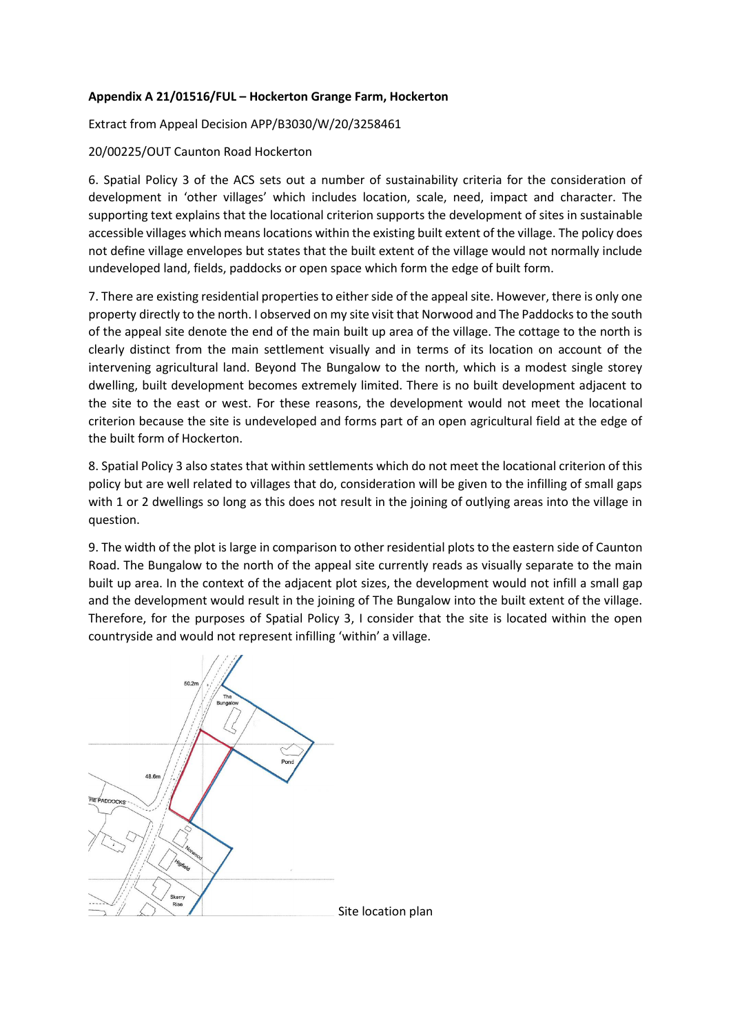## **Appendix A 21/01516/FUL – Hockerton Grange Farm, Hockerton**

Extract from Appeal Decision APP/B3030/W/20/3258461

## 20/00225/OUT Caunton Road Hockerton

6. Spatial Policy 3 of the ACS sets out a number of sustainability criteria for the consideration of development in 'other villages' which includes location, scale, need, impact and character. The supporting text explains that the locational criterion supports the development of sites in sustainable accessible villages which means locations within the existing built extent of the village. The policy does not define village envelopes but states that the built extent of the village would not normally include undeveloped land, fields, paddocks or open space which form the edge of built form.

7. There are existing residential properties to either side of the appeal site. However, there is only one property directly to the north. I observed on my site visit that Norwood and The Paddocks to the south of the appeal site denote the end of the main built up area of the village. The cottage to the north is clearly distinct from the main settlement visually and in terms of its location on account of the intervening agricultural land. Beyond The Bungalow to the north, which is a modest single storey dwelling, built development becomes extremely limited. There is no built development adjacent to the site to the east or west. For these reasons, the development would not meet the locational criterion because the site is undeveloped and forms part of an open agricultural field at the edge of the built form of Hockerton.

8. Spatial Policy 3 also states that within settlements which do not meet the locational criterion of this policy but are well related to villages that do, consideration will be given to the infilling of small gaps with 1 or 2 dwellings so long as this does not result in the joining of outlying areas into the village in question.

9. The width of the plot is large in comparison to other residential plots to the eastern side of Caunton Road. The Bungalow to the north of the appeal site currently reads as visually separate to the main built up area. In the context of the adjacent plot sizes, the development would not infill a small gap and the development would result in the joining of The Bungalow into the built extent of the village. Therefore, for the purposes of Spatial Policy 3, I consider that the site is located within the open countryside and would not represent infilling 'within' a village.

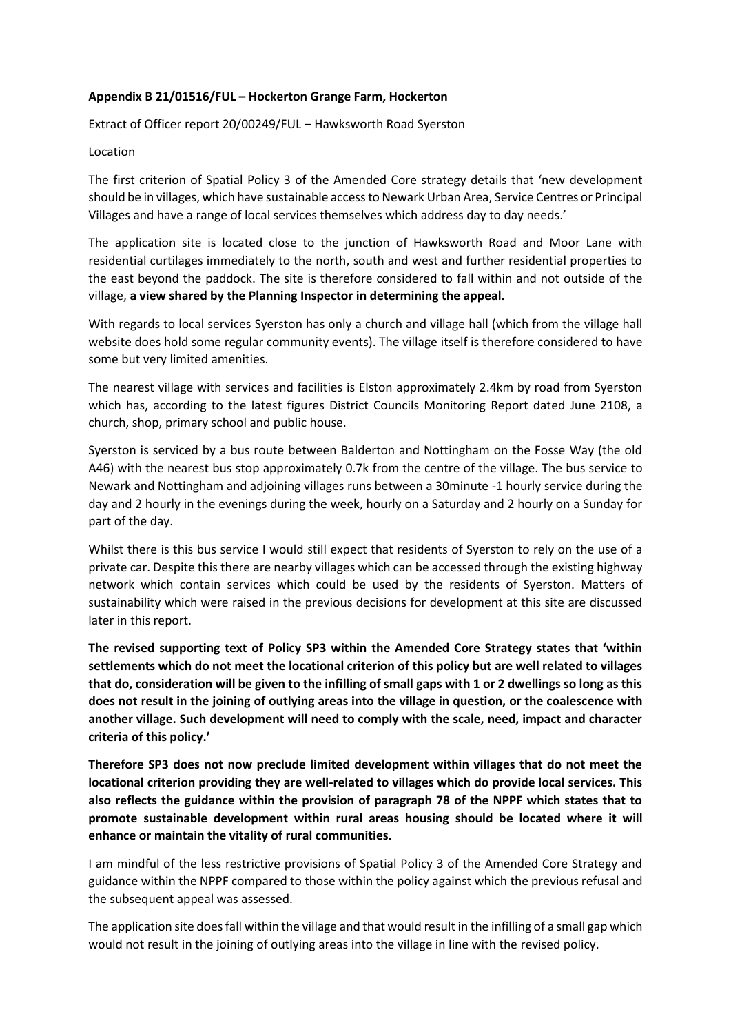## **Appendix B 21/01516/FUL – Hockerton Grange Farm, Hockerton**

Extract of Officer report 20/00249/FUL – Hawksworth Road Syerston

## Location

The first criterion of Spatial Policy 3 of the Amended Core strategy details that 'new development should be in villages, which have sustainable access to Newark Urban Area, Service Centres or Principal Villages and have a range of local services themselves which address day to day needs.'

The application site is located close to the junction of Hawksworth Road and Moor Lane with residential curtilages immediately to the north, south and west and further residential properties to the east beyond the paddock. The site is therefore considered to fall within and not outside of the village, **a view shared by the Planning Inspector in determining the appeal.**

With regards to local services Syerston has only a church and village hall (which from the village hall website does hold some regular community events). The village itself is therefore considered to have some but very limited amenities.

The nearest village with services and facilities is Elston approximately 2.4km by road from Syerston which has, according to the latest figures District Councils Monitoring Report dated June 2108, a church, shop, primary school and public house.

Syerston is serviced by a bus route between Balderton and Nottingham on the Fosse Way (the old A46) with the nearest bus stop approximately 0.7k from the centre of the village. The bus service to Newark and Nottingham and adjoining villages runs between a 30minute -1 hourly service during the day and 2 hourly in the evenings during the week, hourly on a Saturday and 2 hourly on a Sunday for part of the day.

Whilst there is this bus service I would still expect that residents of Syerston to rely on the use of a private car. Despite this there are nearby villages which can be accessed through the existing highway network which contain services which could be used by the residents of Syerston. Matters of sustainability which were raised in the previous decisions for development at this site are discussed later in this report.

**The revised supporting text of Policy SP3 within the Amended Core Strategy states that 'within settlements which do not meet the locational criterion of this policy but are well related to villages that do, consideration will be given to the infilling of small gaps with 1 or 2 dwellings so long as this does not result in the joining of outlying areas into the village in question, or the coalescence with another village. Such development will need to comply with the scale, need, impact and character criteria of this policy.'** 

**Therefore SP3 does not now preclude limited development within villages that do not meet the locational criterion providing they are well-related to villages which do provide local services. This also reflects the guidance within the provision of paragraph 78 of the NPPF which states that to promote sustainable development within rural areas housing should be located where it will enhance or maintain the vitality of rural communities.** 

I am mindful of the less restrictive provisions of Spatial Policy 3 of the Amended Core Strategy and guidance within the NPPF compared to those within the policy against which the previous refusal and the subsequent appeal was assessed.

The application site does fall within the village and that would result in the infilling of a small gap which would not result in the joining of outlying areas into the village in line with the revised policy.